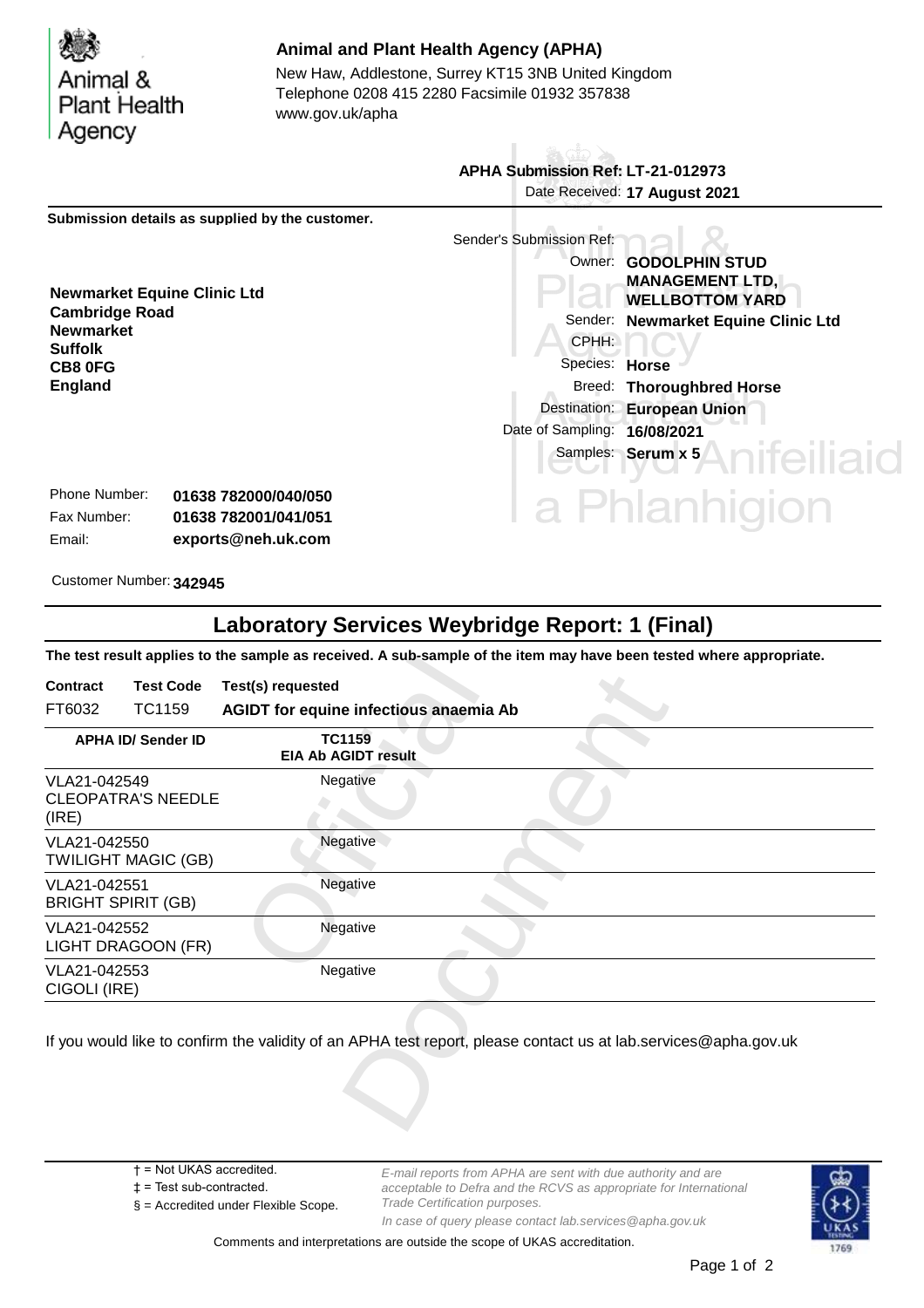Animal & **Plant Health** Agency

**Suffolk CB8 0FG England**

## **Animal and Plant Health Agency (APHA)**

Telephone 0208 415 2280 Facsimile 01932 357838 www.gov.uk/apha New Haw, Addlestone, Surrey KT15 3NB United Kingdom

 **APHA Submission Ref: LT-21-012973** Date Received: **17 August 2021 Submission details as supplied by the customer.** Sender's Submission Ref: Owner: **GODOLPHIN STUD MANAGEMENT LTD, Newmarket Equine Clinic Ltd WELLBOTTOM YARD Cambridge Road** Sender: **Newmarket Equine Clinic Ltd Newmarket** CPHH: Species: **Horse** Breed: **Thoroughbred Horse** Destination: **European Union** Date of Sampling: **16/08/2021** eiliaid Samples: **Serum x 5** Phone Number: **01638 782000/040/050** Phlanhigion Fax Number: **01638 782001/041/051** Email: **exports@neh.uk.com**

Customer Number: **342945**

## **Laboratory Services Weybridge Report: 1 (Final)**

**The test result applies to the sample as received. A sub-sample of the item may have been tested where appropriate.**

| FT6032<br>TC1159<br>AGIDT for equine infectious anaemia Ab<br><b>TC1159</b><br><b>APHA ID/ Sender ID</b><br><b>EIA Ab AGIDT result</b><br>Negative<br>VLA21-042549<br><b>CLEOPATRA'S NEEDLE</b><br>(IRE)<br>Negative<br>VLA21-042550<br><b>TWILIGHT MAGIC (GB)</b><br>Negative<br>VLA21-042551<br><b>BRIGHT SPIRIT (GB)</b><br>Negative<br>VLA21-042552<br>LIGHT DRAGOON (FR)<br>VLA21-042553<br>Negative<br>CIGOLI (IRE) | <b>Contract</b> | <b>Test Code</b> | Test(s) requested |  |  |  |
|---------------------------------------------------------------------------------------------------------------------------------------------------------------------------------------------------------------------------------------------------------------------------------------------------------------------------------------------------------------------------------------------------------------------------|-----------------|------------------|-------------------|--|--|--|
|                                                                                                                                                                                                                                                                                                                                                                                                                           |                 |                  |                   |  |  |  |
|                                                                                                                                                                                                                                                                                                                                                                                                                           |                 |                  |                   |  |  |  |
|                                                                                                                                                                                                                                                                                                                                                                                                                           |                 |                  |                   |  |  |  |
|                                                                                                                                                                                                                                                                                                                                                                                                                           |                 |                  |                   |  |  |  |
|                                                                                                                                                                                                                                                                                                                                                                                                                           |                 |                  |                   |  |  |  |
|                                                                                                                                                                                                                                                                                                                                                                                                                           |                 |                  |                   |  |  |  |
|                                                                                                                                                                                                                                                                                                                                                                                                                           |                 |                  |                   |  |  |  |
| If you would like to confirm the validity of an APHA test report, please contact us at lab.services@apha.gov.uk                                                                                                                                                                                                                                                                                                           |                 |                  |                   |  |  |  |

- † = Not UKAS accredited.
- ‡ = Test sub-contracted.
- § = Accredited under Flexible Scope.

*E-mail reports from APHA are sent with due authority and are acceptable to Defra and the RCVS as appropriate for International Trade Certification purposes. In case of query please contact lab.services@apha.gov.uk*



Comments and interpretations are outside the scope of UKAS accreditation.